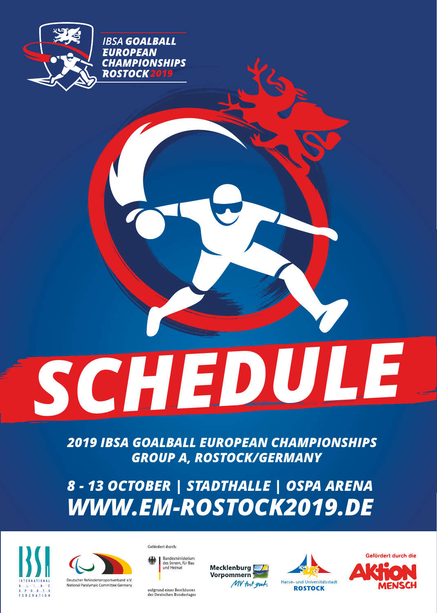

**IBSA GOALBALL EUROPEAN CHAMPIONSHIPS** ROSTOCK 2019

*SCHEDULE*

*2019 IBSA GOALBALL EUROPEAN CHAMPIONSHIPS GROUP A, ROSTOCK/GERMANY*

*8 - 13 OCTOBER | STADTHALLE | OSPA ARENA WWW.EM-ROSTOCK2019.DE* 





Gefördert durch:

Bundesministerium<br>des Innern, für Bau<br>und Heimat

aufgrund eines Beschlusses<br>des Deutschen Bundestages





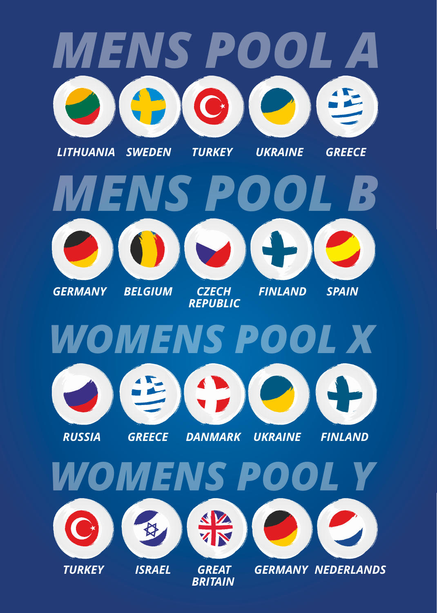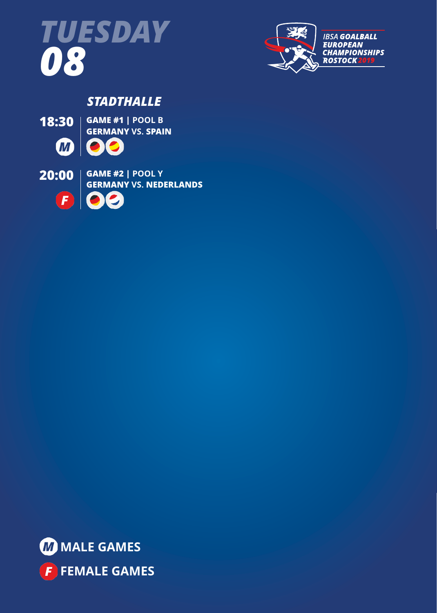



## *STADTHALLE*

**18:30 GAME #1 | POOL B GERMANY VS. SPAIN M**  $\bullet$ 





**FEMALE GAMES**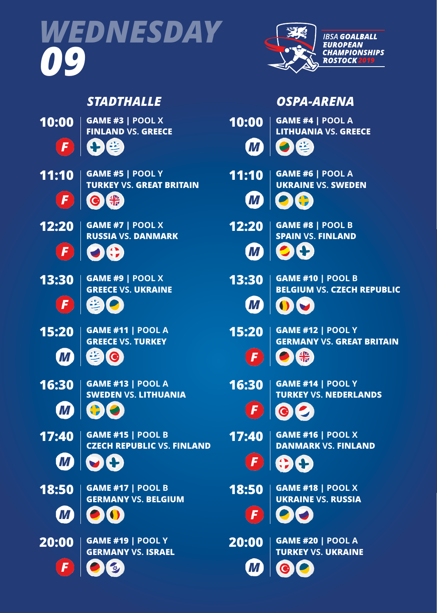



*OSPA-ARENA*

**GAME #6 | POOL A UKRAINE VS. SWEDEN**

**SPAIN VS. FINLAND**

**GAME #10 | POOL B**

**GAME #14 | POOL Y**

**TURKEY VS. NEDERLANDS**

**DANMARK VS. FINLAND**

**GAME #18 | POOL X UKRAINE VS. RUSSIA**

**TURKEY VS. UKRAINE**

**BELGIUM VS. CZECH REPUBLIC**

**GERMANY VS. GREAT BRITAIN**

**LITHUANIA VS. GREECE**

**10:00 GAME #4 | POOL A**

**12:20 GAME #8 | POOL B**

**15:20 GAME #12 | POOL Y**

器

**17:40 GAME #16 | POOL X**

**11:10**

**M** 

**M** 

**M** 

**M** 

 $\sqrt{F}$ 

 $\sqrt{F}$ 

 $\left( \mathbf{F}\right)$ 

 $\vert F \vert$ 

М

**13:30**

**16:30**

**18:50**

**20:00**

**GAME #19 | POOL Y 20:00 GAME #20 | POOL A**

# *STADTHALLE*

- **10:00 GAME #3 | POOL X FINLAND VS. GREECE**  $\sqrt{2}$
- **11:10 GAME #5 | POOL Y TURKEY VS. GREAT BRITAIN**  $\sqrt{F}$
- **12:20 GAME #7 | POOL X RUSSIA VS. DANMARK**
- **13:30 GAME #9 | POOL X**  $\sqrt{F}$

 $\mathbf{F}$ 

- **GREECE VS. UKRAINE**
- **15:20 GAME #11 | POOL A**

**GREECE VS. TURKEY**

- **M**
- $\bullet$
- **16:30**

**18:50**

 $\textcolor{red}{\blacksquare}$ 

**W** 

F

- 
- **GAME #13 | POOL A SWEDEN VS. LITHUANIA**

**CZECH REPUBLIC VS. FINLAND**

- $\boldsymbol{M}$
- -
- -
- -
- -
- -
- 
- 
- -
- 
- 
- 
- 
- 
- 
- 
- 
- -
	-
- 

**17:40 GAME #15 | POOL B**

- 
- 
- 
- 
- -
- 
- 
- 
- 
- 
- 
- - -
	-
- -

**GAME #17 | POOL B GERMANY VS. BELGIUM**

**GERMANY VS. ISRAEL**

- 
- 
- 
- 
- 
- 
- 
- -
	-
	-
- -
	-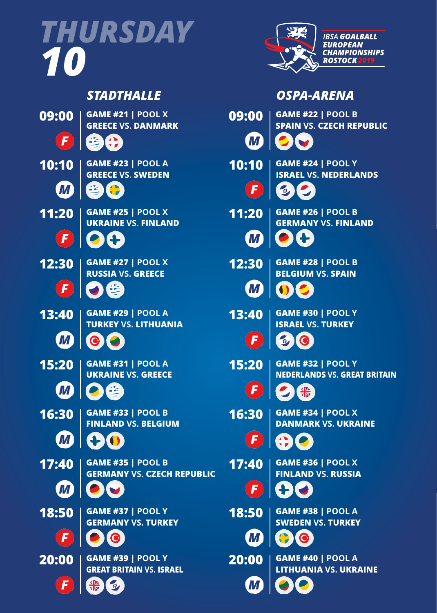*THURSDAY 10*



## *STADTHALLE*























F





*OSPA-ARENA*

 $\bm{M}$ 

| 09:00                           | <b>GAME #21   POOL X</b><br><b>GREECE VS. DANMARK</b>          | 09:00                   | <b>GAME #22   POOL B</b><br><b>SPAIN VS. CZECH REPUBLIC</b>     |
|---------------------------------|----------------------------------------------------------------|-------------------------|-----------------------------------------------------------------|
| $\left  \boldsymbol{F} \right $ | 生代                                                             | $\blacksquare$          | OIV                                                             |
| 10:10                           | <b>GAME #23   POOL A</b><br><b>GREECE VS. SWEDEN</b>           | 10:10                   | <b>GAME #24   POOL Y</b><br><b>ISRAEL VS. NEDERLANDS</b>        |
| $\boldsymbol{\varPi}$           | $\blacksquare$                                                 | $\vert F \vert$         | 如                                                               |
|                                 | <b>11:20</b>   GAME #25   POOL X<br><b>UKRAINE VS. FINLAND</b> | 11:20                   | <b>GAME #26   POOL B</b><br><b>GERMANY VS. FINLAND</b>          |
| $\left  \bm{F} \right $         | 214                                                            | $\boldsymbol{H}$        | $\bullet$                                                       |
| 12:30                           | <b>GAME #27   POOL X</b><br><b>RUSSIA VS. GREECE</b>           | 12:30                   | <b>GAME #28   POOL B</b><br><b>BELGIUM VS. SPAIN</b>            |
| $\left($ F                      | つき                                                             | $\boldsymbol{M}$        |                                                                 |
| 13:40                           | <b>GAME #29   POOL A</b><br><b>TURKEY VS. LITHUANIA</b>        | 13:40                   | <b>GAME #30   POOL Y</b><br><b>ISRAEL VS. TURKEY</b>            |
| $\blacksquare$                  | $\bullet$                                                      | $\left  \bm{F} \right $ | 母                                                               |
| 15:20                           | <b>GAME #31   POOL A</b><br><b>UKRAINE VS. GREECE</b>          | 15:20                   | <b>GAME #32   POOL Y</b><br><b>NEDERLANDS VS. GREAT BRITAIN</b> |
| $\boldsymbol{\varPi}$           |                                                                | $\vert F \vert$         |                                                                 |
| 16:30                           | <b>GAME #33   POOL B</b><br><b>FINLAND VS. BELGIUM</b>         | 16:30                   | <b>GAME #34   POOL X</b><br><b>DANMARK VS. UKRAINE</b>          |
|                                 | M +O                                                           |                         | 190                                                             |
| 17:40                           | <b>GAME #35   POOL B</b><br><b>GERMANY VS. CZECH REPUBLIC</b>  | 17:40                   | <b>GAME #36   POOL X</b><br><b>FINLAND VS. RUSSIA</b>           |
| $\boldsymbol{\mathit{m}}$       |                                                                | $\vert F \vert$         | H                                                               |
| 18:50                           | <b>GAME #37   POOL Y</b><br><b>GERMANY VS. TURKEY</b>          | 18:50                   | <b>GAME #38   POOL A</b><br><b>SWEDEN VS. TURKEY</b>            |
| F                               |                                                                | М                       | $\bullet$ 10                                                    |
| 20:00                           | <b>GAME #39   POOL Y</b><br><b>GREAT BRITAIN VS. ISRAEL</b>    | 20:00                   | <b>GAME #40   POOL A</b><br><b>LITHUANIA VS. UKRAINE</b>        |
|                                 |                                                                |                         |                                                                 |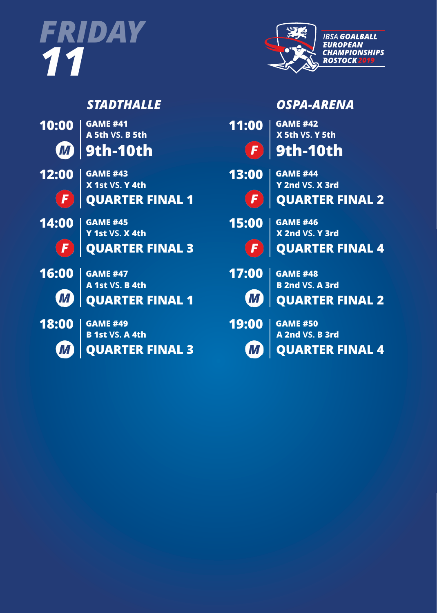



# *STADTHALLE*

| 10:00 |  |
|-------|--|
| (M)   |  |

**A 5th VS. B 5th 9th-10th GAME #41**



**QUARTER FINAL 1 X 1st VS. Y 4th GAME #43**



 $\left( \mathbf{F}\right)$ 

**QUARTER FINAL 3 Y 1st VS. X 4th GAME #45**



**QUARTER FINAL 1 A 1st VS. B 4th GAME #47**



**M** 

**QUARTER FINAL 3 B 1st VS. A 4th GAME #49**

|            | OSPA-ARENA                                |
|------------|-------------------------------------------|
| 11:00      | <b>GAME #42</b><br>X 5th VS. Y 5th        |
| $\sqrt{F}$ | <b>9th-10th</b>                           |
| 13:00      | <b>GAME #44</b><br>Y 2nd VS. X 3rd        |
| $\sqrt{F}$ | <b>QUARTER FINAL 2</b>                    |
| 15:00      | <b>GAME #46</b><br>X 2nd VS. Y 3rd        |
| (F)        | <b>QUARTER FINAL 4</b>                    |
| 17:00      | <b>GAME #48</b><br><b>B 2nd VS. A 3rd</b> |
| <b>WA</b>  | <b>QUARTER FINAL 2</b>                    |
| 19:00      | <b>GAME #50</b><br>A 2nd VS. B 3rd        |
|            | <b>QUARTER FINAL 4</b>                    |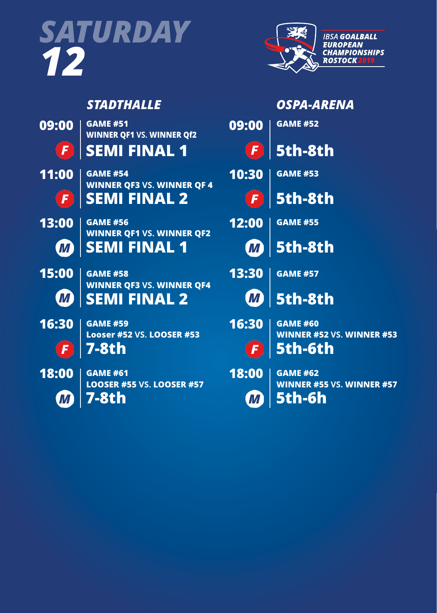



|                             | <b>STADTHALLE</b>                                       |                         | <b>OSPA-ARENA</b>                                   |
|-----------------------------|---------------------------------------------------------|-------------------------|-----------------------------------------------------|
| 09:00                       | <b>GAME #51</b><br><b>WINNER QF1 VS. WINNER Qf2</b>     | 09:00                   | <b>GAME #52</b>                                     |
| $\left  \mathbf{F} \right $ | <b>SEMI FINAL 1</b>                                     | $\left( \bm{F} \right)$ | 5th-8th                                             |
| 11:00                       | <b>GAME #54</b><br><b>WINNER QF3 VS. WINNER QF 4</b>    | 10:30                   | <b>GAME #53</b>                                     |
| $\left($ F $\right)$        | <b>SEMI FINAL 2</b>                                     | $\vert F \vert$         | 5th-8th                                             |
| 13:00                       | <b>GAME #56</b><br><b>WINNER QF1 VS. WINNER QF2</b>     | 12:00                   | <b>GAME #55</b>                                     |
| $\boldsymbol{\varPi}$       | <b>SEMI FINAL 1</b>                                     | $\blacksquare$          | <b>5th-8th</b>                                      |
| 15:00                       | <b>GAME #58</b>                                         | 13:30                   | <b>GAME #57</b>                                     |
| $\bm{M}$                    | <b>WINNER QF3 VS. WINNER QF4</b><br><b>SEMI FINAL 2</b> | $\textbf{I}$            | <b>5th-8th</b>                                      |
| 16:30                       | <b>GAME #59</b><br><b>Looser #52 VS. LOOSER #53</b>     | 16:30                   | <b>GAME #60</b><br><b>WINNER #52 VS. WINNER #53</b> |
| $\mathbf{F}$                | <b>7-8th</b>                                            |                         | 5th-6th                                             |
| 18:00                       | <b>GAME #61</b><br><b>LOOSER #55 VS. LOOSER #57</b>     | 18:00                   | <b>GAME #62</b><br><b>WINNER #55 VS. WINNER #57</b> |
| M)                          | <b>7-8th</b>                                            | M)                      | 5th-6h                                              |